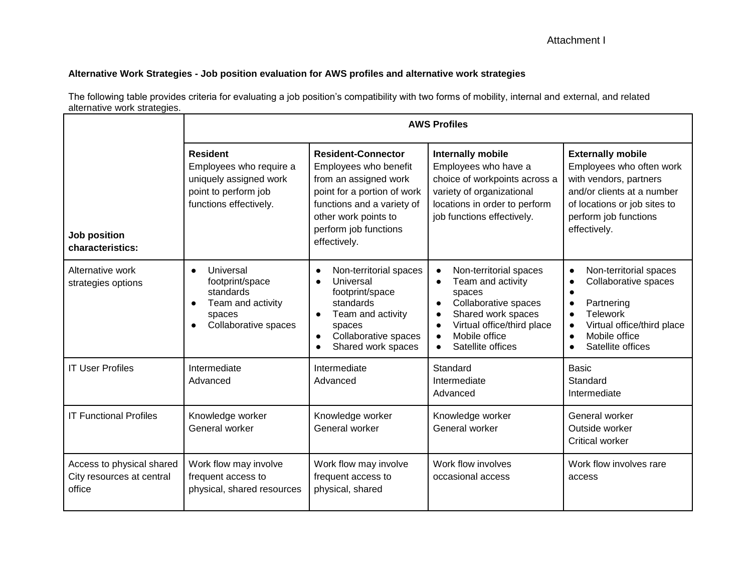## **Alternative Work Strategies - Job position evaluation for AWS profiles and alternative work strategies**

**Job position characteristics: AWS Profiles Resident** Employees who require a uniquely assigned work point to perform job functions effectively. **Resident-Connector** Employees who benefit from an assigned work point for a portion of work functions and a variety of other work points to perform job functions effectively. **Internally mobile**  Employees who have a choice of workpoints across a variety of organizational locations in order to perform job functions effectively. **Externally mobile**  Employees who often work with vendors, partners and/or clients at a number of locations or job sites to perform job functions effectively. Alternative work strategies options ● Universal footprint/space standards Team and activity spaces Collaborative spaces ● Non-territorial spaces ● Universal footprint/space standards • Team and activity spaces ● Collaborative spaces ● Shared work spaces ● Non-territorial spaces ● Team and activity spaces ● Collaborative spaces ● Shared work spaces ● Virtual office/third place ● Mobile office ● Satellite offices ● Non-territorial spaces Collaborative spaces ● ● Partnering **Telework** Virtual office/third place ● Mobile office ● Satellite offices IT User Profiles Intermediate Advanced Intermediate Advanced **Standard** Intermediate Advanced **Basic Standard** Intermediate IT Functional Profiles | Knowledge worker General worker Knowledge worker General worker Knowledge worker General worker General worker Outside worker Critical worker Access to physical shared City resources at central office Work flow may involve frequent access to physical, shared resources Work flow may involve frequent access to physical, shared Work flow involves occasional access Work flow involves rare access

The following table provides criteria for evaluating a job position's compatibility with two forms of mobility, internal and external, and related alternative work strategies.